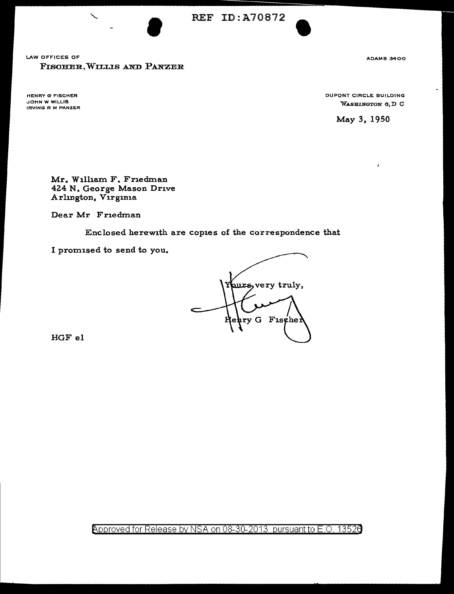REF ID:A70872



• ADAMS 3400

HENRY G" FISCHER JOHN W WILLIS IRVING R M PANZER DUPONT CIRCLE BUILDING WASHINGTON 6, D G

May 3, 1950

 $\lambda$ 

Mr. Wilham F. Friedman 424 N. George Mason Drive Arlington, Virginia

Dear Mr Friedman

Enclosed herewith are copies of the correspondence that

I promised to send to you.

surs, very truly,  $\arg G$  Fischer

HGF el

Approved for Release by NSA on 08-30-2013 pursuant to E.O. 13526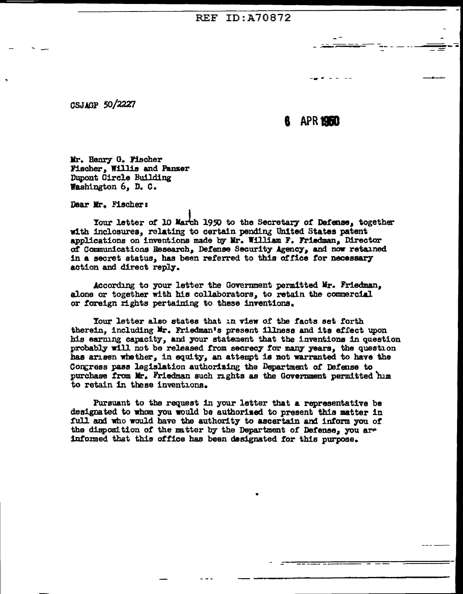## **REF ID: A70872**

CSJAGP 50/2227

APR 1950

Mr. Hanry G. Fischer Fischer. Willis and Panzer Dupont Circle Building Washington 6, D. C.

Dear Mr. Fischer:

Your letter of 10 March 1950 to the Secretary of Defense. together with inclosures, relating to certain pending United States patent applications on inventions made by Mr. William F. Friedman, Director of Communications Research, Defense Security Agency, and now retained in a secret status, has been referred to this office for necessary action and direct reply.

According to your letter the Government permitted Mr. Friedman. alone or together with his collaborators, to retain the commercial or foreign rights pertaining to these inventions.

Your letter also states that in view of the facts set forth therein, including Mr. Friedman's present illness and its effect upon his earning capacity, and your statement that the inventions in question probably will not be released from secrecy for many years, the question has arisen whether, in equity, an attempt is not warranted to have the Congress pass legislation authorising the Department of Defense to purchase from Mr. Friedman such rights as the Government permitted him to retain in these inventions.

Pursuant to the request in your letter that a representative be designated to whom you would be authorized to present this matter in full and who would have the authority to ascertain and inform you of the disposition of the matter by the Department of Defense, you are informed that this office has been designated for this purpose.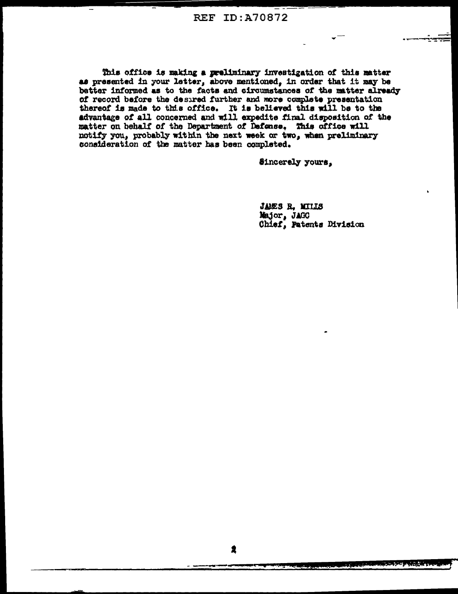This office is making a preliminary investigation of this matter as presented in your letter, above mentioned, in order that it may be better informed as to the facts and circumstances of the matter already of record before the desired further and more complete presentation thereof is made to this office. It is believed this will be to the advantage of all concerned and will expedite final disposition of the matter on behalf of the Department of Defense. This office will notify you, probably within the next week or two, when preliminary consideration of the matter has been completed.

Sincerely yours,

JAMES R. MILLS Major, JAGC Chief, Patents Division

2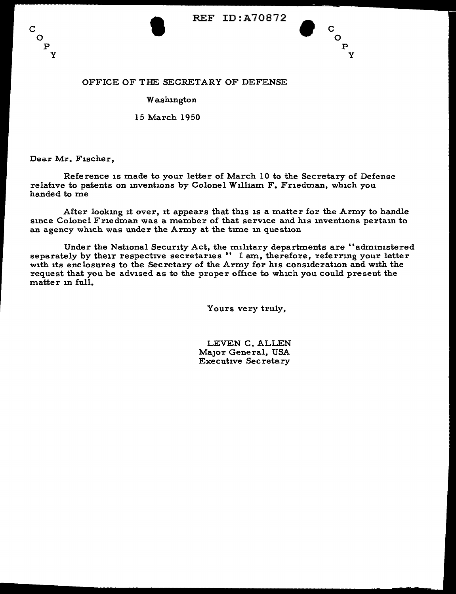





# OFFICE OF THE SECRETARY OF DEFENSE

### **Washington**

## 15 March 1950

Dear Mr. Fischer,

Reference is made to your letter of March 10 to the Secretary of Defense relative to patents on inventions by Colonel Wilham F. Friedman, which you handed to me

After looking it over, it appears that this is a matter for the Army to handle since Colonel Friedman was a member of that service and his inventions pertain to an agency which was under the Army at the tune in question

Under the National Security Act, the military departments are "administered separately by their respective secretaries " I am, therefore, referring your letter with its enclosures to the Secretary of the Army for his consideration and with the request that you be advised as to the proper office to which you could present the matter in full.

Yours very truly,

LEVEN C. ALLEN MaJor General, USA Executive Secretary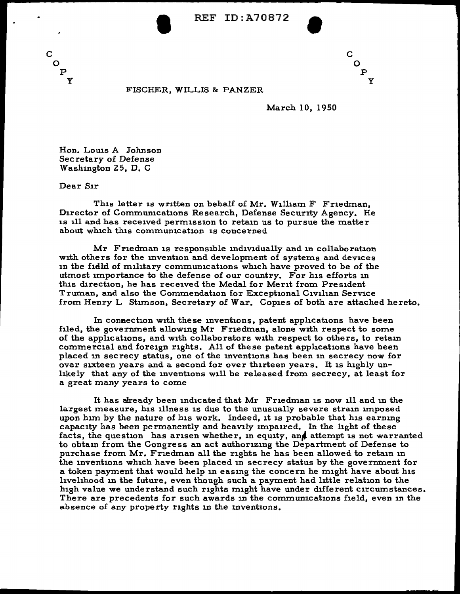

c  $\mathbf Q$ p y

#### FISCHER, WILLIS & PANZER

March 10, 1950

Hon. Louis A Johnson Secretary of Defense Washington 25, D. C.

Dear Sir

c  $\overline{O}$ 

> p y

This letter is written on behalf of Mr. Wilham F Friedman, Director of Communications Research, Defense Security Agency. He is ill and has received permission to retain us to pursue the matter about which this communication is concerned

Mr Friedman is responsible individually and in collaboration with others for the invention and development of systems and devices in the field of military communications which have proved to be of the utmost importance to the defense of our country. For his efforts in this direction, he has received the Medal for Merit from President Truman, and also the Commendation for Exceptional Civilian Service from Henry L Stunson, Secretary of War. Copies of both are attached hereto.

In connection with these inventions, patent applications have been filed, the government allowing Mr Friedman, alone with respect to some of the applications, and with collaborators with respect to others, to retain commercial and foreign rights. All of these patent applications have been placed in secrecy status, one of the inventions has been 1n secrecy now for over sixteen years and a second for over thirteen years. It is highly unlikely that any of the inventions will be released from secrecy, at least for a great many years to come

It has already been indicated that Mr Friedman is now ill and in the largest measure, his illness is due to the unusually severe strain imposed upon him by the nature of his work. Indeed, it is probable that his earning capacity has been permanently and heavily impaired. In the light of these facts, the question has arisen whether, in equity, and attempt is not warranted to obtain from the Congress an act authorizing the Department of Defense to purchase from Mr. Friedman all the rights he has been allowed to retain in the inventions which have been placed 1n secrecy status by the government for a token payment that would help in easing the concern he might have about his hvehhood 1n the future, even though such a payment had little relation to the high value we understand such rights might have under different circumstances. There are precedents for such awards in the communications field, even in the absence of any property rights in the inventions.